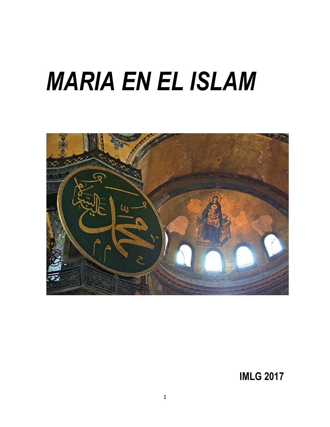# *MARIA EN EL ISLAM*



**IMLG 2017**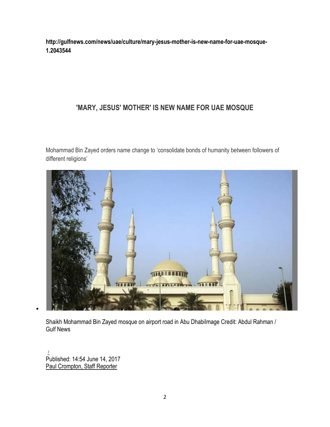**http://gulfnews.com/news/uae/culture/mary-jesus-mother-is-new-name-for-uae-mosque-1.2043544**

## **'MARY, JESUS' MOTHER' IS NEW NAME FOR UAE MOSQUE**

Mohammad Bin Zayed orders name change to 'consolidate bonds of humanity between followers of different religions'



Shaikh Mohammad Bin Zayed mosque on airport road in Abu DhabiImage Credit: Abdul Rahman / Gulf News

[‹›](http://gulfnews.com/news/uae/culture/mary-jesus-mother-is-new-name-for-uae-mosque-1.2043544) Published: 14:54 June 14, 2017 [Paul Crompton, Staff Reporter](http://gulfnews.com/writers/paul-crompton)

 $\bullet$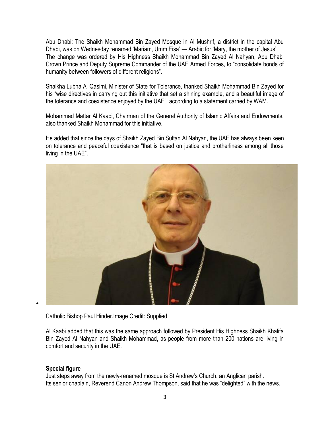Abu Dhabi: The Shaikh Mohammad Bin Zayed Mosque in Al Mushrif, a district in the capital Abu Dhabi, was on Wednesday renamed 'Mariam, Umm Eisa' — Arabic for 'Mary, the mother of Jesus'. The change was ordered by His Highness Shaikh Mohammad Bin Zayed Al Nahyan, Abu Dhabi Crown Prince and Deputy Supreme Commander of the UAE Armed Forces, to "consolidate bonds of humanity between followers of different religions".

Shaikha Lubna Al Qasimi, Minister of State for Tolerance, thanked Shaikh Mohammad Bin Zayed for his "wise directives in carrying out this initiative that set a shining example, and a beautiful image of the tolerance and coexistence enjoyed by the UAE", according to a statement carried by WAM.

Mohammad Mattar Al Kaabi, Chairman of the General Authority of Islamic Affairs and Endowments, also thanked Shaikh Mohammad for this initiative.

He added that since the days of Shaikh Zayed Bin Sultan Al Nahyan, the UAE has always been keen on tolerance and peaceful coexistence "that is based on justice and brotherliness among all those living in the UAE".



Catholic Bishop Paul Hinder.Image Credit: Supplied

Al Kaabi added that this was the same approach followed by President His Highness Shaikh Khalifa Bin Zayed Al Nahyan and Shaikh Mohammad, as people from more than 200 nations are living in comfort and security in the UAE.

## **Special figure**

Just steps away from the newly-renamed mosque is St Andrew's Church, an Anglican parish. Its senior chaplain, Reverend Canon Andrew Thompson, said that he was "delighted" with the news.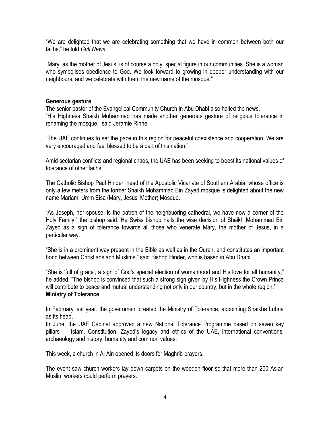"We are delighted that we are celebrating something that we have in common between both our faiths," he told *Gulf News*.

"Mary, as the mother of Jesus, is of course a holy, special figure in our communities. She is a woman who symbolises obedience to God. We look forward to growing in deeper understanding with our neighbours, and we celebrate with them the new name of the mosque."

#### **Generous gesture**

The senior pastor of the Evangelical Community Church in Abu Dhabi also hailed the news. "His Highness Shaikh Mohammad has made another generous gesture of religious tolerance in renaming the mosque," said Jeramie Rinne.

"The UAE continues to set the pace in this region for peaceful coexistence and cooperation. We are very encouraged and feel blessed to be a part of this nation."

Amid sectarian conflicts and regional chaos, the UAE has been seeking to boost its national values of tolerance of other faiths.

The Catholic Bishop Paul Hinder, head of the Apostolic Vicariate of Southern Arabia, whose office is only a few meters from the former Shaikh Mohammad Bin Zayed mosque is delighted about the new name Mariam, Umm Eisa (Mary, Jesus' Mother) Mosque.

"As Joseph, her spouse, is the patron of the neighbuoring cathedral, we have now a corner of the Holy Family," the bishop said. He Swiss bishop hails the wise decision of Shaikh Mohammad Bin Zayed as a sign of tolerance towards all those who venerate Mary, the mother of Jesus, in a particular way.

"She is in a prominent way present in the Bible as well as in the Quran, and constitutes an important bond between Christians and Muslims," said Bishop Hinder, who is based in Abu Dhabi.

"She is 'full of grace', a sign of God's special election of womanhood and His love for all humanity," he added. "The bishop is convinced that such a strong sign given by His Highness the Crown Prince will contribute to peace and mutual understanding not only in our country, but in the whole region." **Ministry of Tolerance**

In February last year, the government created the Ministry of Tolerance, appointing Shaikha Lubna as its head.

In June, the UAE Cabinet approved a new National Tolerance Programme based on seven key pillars — Islam, Constitution, Zayed's legacy and ethics of the UAE, international conventions, archaeology and history, humanity and common values.

This week, a church in Al Ain opened its doors for Maghrib prayers.

The event saw church workers lay down carpets on the wooden floor so that more than 200 Asian Muslim workers could perform prayers.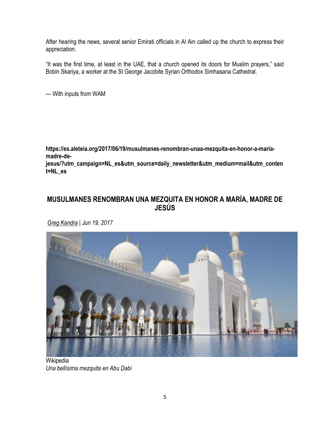After hearing the news, several senior Emirati officials in Al Ain called up the church to express their appreciation.

"It was the first time, at least in the UAE, that a church opened its doors for Muslim prayers," said Bobin Skariya, a worker at the St George Jacobite Syrian Orthodox Simhasana Cathedral.

— With inputs from WAM

**https://es.aleteia.org/2017/06/19/musulmanes-renombran-unaa-mezquita-en-honor-a-mariamadre-de-**

**jesus/?utm\_campaign=NL\_es&utm\_source=daily\_newsletter&utm\_medium=mail&utm\_conten t=NL\_es**

## **MUSULMANES RENOMBRAN UNA MEZQUITA EN HONOR A MARÍA, MADRE DE JESÚS**

*[Greg Kandra](https://es.aleteia.org/author/greg-kandra/) | Jun 19, 2017*



Wikipedia *Una bellísima mezquita en Abu Dabi*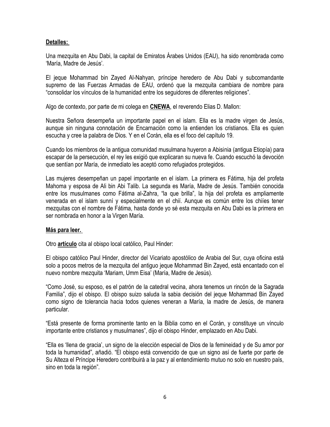#### **[Detalles:](http://www.catholicherald.co.uk/leading-articles/2017/06/16/united-arab-emirates-renames-mosque-mary-mother-of-jesus/)**

Una mezquita en Abu Dabi, la capital de Emiratos Árabes Unidos (EAU), ha sido renombrada como 'María, Madre de Jesús'*.*

El jeque Mohammad bin Zayed Al-Nahyan, príncipe heredero de Abu Dabi y subcomandante supremo de las Fuerzas Armadas de EAU, ordenó que la mezquita cambiara de nombre para "consolidar los vínculos de la humanidad entre los seguidores de diferentes religiones".

Algo de contexto, por parte de mi colega en **[CNEWA](http://www.cnewa.org/blog.aspx?ID=0&pagetypeID=31&sitecode=HQ&pageno=1)**, el reverendo Elias D. Mallon:

Nuestra Señora desempeña un importante papel en el islam. Ella es la madre virgen de Jesús, aunque sin ninguna connotación de Encarnación como la entienden los cristianos. Ella es quien escucha y cree la palabra de Dios. Y en el Corán, ella es el foco del capítulo 19.

Cuando los miembros de la antigua comunidad musulmana huyeron a Abisinia (antigua Etiopía) para escapar de la persecución, el rey les exigió que explicaran su nueva fe. Cuando escuchó la devoción que sentían por María, de inmediato les aceptó como refugiados protegidos.

Las mujeres desempeñan un papel importante en el islam. La primera es Fátima, hija del profeta Mahoma y esposa de Ali bin Abi Talib. La segunda es María, Madre de Jesús. También conocida entre los musulmanes como Fátima al-Zahra, "la que brilla", la hija del profeta es ampliamente venerada en el islam sunní y especialmente en el chií. Aunque es común entre los chiíes tener mezquitas con el nombre de Fátima, hasta donde yo sé esta mezquita en Abu Dabi es la primera en ser nombrada en honor a la Virgen María.

## **[Más para leer.](http://www.cnewa.org/blog.aspx?ID=0&pagetypeID=31&sitecode=HQ&pageno=1)**

Otro **[artículo](http://gulfnews.com/news/uae/culture/mary-jesus-mother-is-new-name-for-uae-mosque-1.2043544)** cita al obispo local católico, Paul Hinder:

El obispo católico Paul Hinder, director del Vicariato apostólico de Arabia del Sur, cuya oficina está solo a pocos metros de la mezquita del antiguo jeque Mohammad Bin Zayed, está encantado con el nuevo nombre mezquita 'Mariam, Umm Eisa' (María, Madre de Jesús).

"Como José, su esposo, es el patrón de la catedral vecina, ahora tenemos un rincón de la Sagrada Familia", dijo el obispo. El obispo suizo saluda la sabia decisión del jeque Mohammad Bin Zayed como signo de tolerancia hacia todos quienes veneran a María, la madre de Jesús, de manera particular.

"Está presente de forma prominente tanto en la Biblia como en el Corán, y constituye un vínculo importante entre cristianos y musulmanes", dijo el obispo Hinder, emplazado en Abu Dabi.

"Ella es 'llena de gracia', un signo de la elección especial de Dios de la femineidad y de Su amor por toda la humanidad", añadió. "El obispo está convencido de que un signo así de fuerte por parte de Su Alteza el Príncipe Heredero contribuirá a la paz y al entendimiento mutuo no solo en nuestro país, sino en toda la región".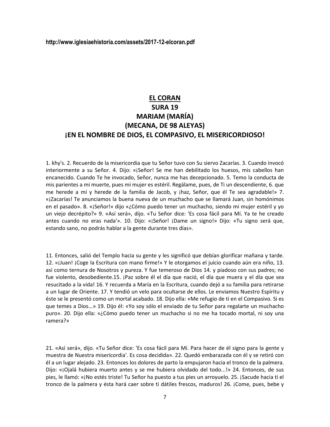#### **http://www.iglesiaehistoria.com/assets/2017-12-elcoran.pdf**

## **EL CORAN SURA 19 MARIAM (MARÍA) (MECANA, DE 98 ALEYAS) ¡EN EL NOMBRE DE DIOS, EL COMPASIVO, EL MISERICORDIOSO!**

1. khy's. 2. Recuerdo de la misericordia que tu Señor tuvo con Su siervo Zacarías. 3. Cuando invocó interiormente a su Señor. 4. Dijo: «¡Señor! Se me han debilitado los huesos, mis cabellos han encanecido. Cuando Te he invocado, Señor, nunca me has decepcionado. 5. Temo la conducta de mis parientes a mi muerte, pues mi mujer es estéril. Regálame, pues, de Ti un descendiente, 6. que me herede a mí y herede de la familia de Jacob, y jhaz, Señor, que él Te sea agradable!» 7. «¡Zacarías! Te anunciamos la buena nueva de un muchacho que se llamará Juan, sin homónimos en el pasado». 8. «¡Señor!» dijo «¿Cómo puedo tener un muchacho, siendo mi mujer estéril y yo un viejo decrépito?» 9. «Así será», dijo. «Tu Señor dice: 'Es cosa fácil para Mí. Ya te he creado antes cuando no eras nada'». 10. Dijo: «¡Señor! ¡Dame un signo!» Dijo: «Tu signo será que, estando sano, no podrás hablar a la gente durante tres días».

11. Entonces, salió del Templo hacia su gente y les significó que debían glorificar mañana y tarde. 12. «¡Juan! ¡Coge la Escritura con mano firme!» Y le otorgamos el juicio cuando aún era niño, 13. así como ternura de Nosotros y pureza. Y fue temeroso de Dios 14. y piadoso con sus padres; no fue violento, desobediente.15. ¡Paz sobre él el día que nació, el día que muera y el día que sea resucitado a la vida! 16. Y recuerda a María en la Escritura, cuando dejó a su familia para retirarse a un lugar de Oriente. 17. Y tendió un velo para ocultarse de ellos. Le enviamos Nuestro Espíritu y éste se le presentó como un mortal acabado. 18. Dijo ella: «Me refugio de ti en el Compasivo. Si es que temes a Dios...» 19. Dijo él: «Yo soy sólo el enviado de tu Señor para regalarte un muchacho puro». 20. Dijo ella: «¿Cómo puedo tener un muchacho si no me ha tocado mortal, ni soy una ramera?»

21. «Así será», dijo. «Tu Señor dice: 'Es cosa fácil para Mí. Para hacer de él signo para la gente y muestra de Nuestra misericordia'. Es cosa decidida». 22. Quedó embarazada con él y se retiró con él a un lugar alejado. 23. Entonces los dolores de parto la empujaron hacia el tronco de la palmera. Dijo: «¡Ojalá hubiera muerto antes y se me hubiera olvidado del todo...!» 24. Entonces, de sus pies, le llamó: «¡No estés triste! Tu Señor ha puesto a tus pies un arroyuelo. 25. ¡Sacude hacia ti el tronco de la palmera y ésta hará caer sobre ti dátiles frescos, maduros! 26. ¡Come, pues, bebe y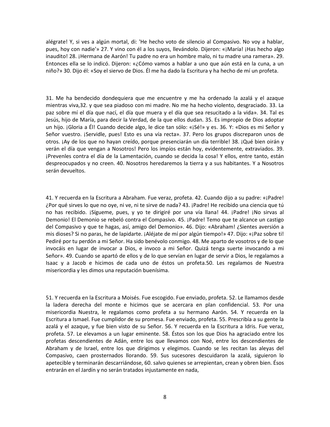alégrate! Y, si ves a algún mortal, di: 'He hecho voto de silencio al Compasivo. No voy a hablar, pues, hoy con nadie'» 27. Y vino con él a los suyos, llevándolo. Dijeron: «¡María! ¡Has hecho algo inaudito! 28. ¡Hermana de Aarón! Tu padre no era un hombre malo, ni tu madre una ramera». 29. Entonces ella se lo indicó. Dijeron: «¿Cómo vamos a hablar a uno que aún está en la cuna, a un niño?» 30. Dijo él: «Soy el siervo de Dios. Él me ha dado la Escritura y ha hecho de mí un profeta.

31. Me ha bendecido dondequiera que me encuentre y me ha ordenado la azalá y el azaque mientras viva,32. y que sea piadoso con mi madre. No me ha hecho violento, desgraciado. 33. La paz sobre mí el día que nací, el día que muera y el día que sea resucitado a la vida». 34. Tal es Jesús, hijo de María, para decir la Verdad, de la que ellos dudan. 35. Es impropio de Dios adoptar un hijo. ¡Gloria a Él! Cuando decide algo, le dice tan sólo: «¡Sé!» y es. 36. Y: «Dios es mi Señor y Señor vuestro. ¡Servidle, pues! Esto es una vía recta». 37. Pero los grupos discreparon unos de otros. ¡Ay de los que no hayan creído, porque presenciarán un día terrible! 38. ¡Qué bien oirán y verán el día que vengan a Nosotros! Pero los impíos están hoy, evidentemente, extraviados. 39. ¡Prevenles contra el día de la Lamentación, cuando se decida la cosa! Y ellos, entre tanto, están despreocupados y no creen. 40. Nosotros heredaremos la tierra y a sus habitantes. Y a Nosotros serán devueltos.

41. Y recuerda en la Escritura a Abraham. Fue veraz, profeta. 42. Cuando dijo a su padre: «¡Padre! ¿Por qué sirves lo que no oye, ni ve, ni te sirve de nada? 43. ¡Padre! He recibido una ciencia que tú no has recibido. ¡Sígueme, pues, y yo te dirigiré por una vía llana! 44. ¡Padre! ¡No sirvas al Demonio! El Demonio se rebeló contra el Compasivo. 45. ¡Padre! Temo que te alcance un castigo del Compasivo y que te hagas, así, amigo del Demonio». 46. Dijo: «Abraham! ¿Sientes aversión a mis dioses? Si no paras, he de lapidarte. ¡Aléjate de mí por algún tiempo!» 47. Dijo: «¡Paz sobre ti! Pediré por tu perdón a mi Señor. Ha sido benévolo conmigo. 48. Me aparto de vosotros y de lo que invocáis en lugar de invocar a Dios, e invoco a mi Señor. Quizá tenga suerte invocando a mi Señor». 49. Cuando se apartó de ellos y de lo que servían en lugar de servir a Dios, le regalamos a Isaac y a Jacob e hicimos de cada uno de éstos un profeta.50. Les regalamos de Nuestra misericordia y les dimos una reputación buenísima.

51. Y recuerda en la Escritura a Moisés. Fue escogido. Fue enviado, profeta. 52. Le llamamos desde la ladera derecha del monte e hicimos que se acercara en plan confidencial. 53. Por una misericordia Nuestra, le regalamos como profeta a su hermano Aarón. 54. Y recuerda en la Escritura a Ismael. Fue cumplidor de su promesa. Fue enviado, profeta. 55. Prescribía a su gente la azalá y el azaque, y fue bien visto de su Señor. 56. Y recuerda en la Escritura a Idris. Fue veraz, profeta. 57. Le elevamos a un lugar eminente. 58. Éstos son los que Dios ha agraciado entre los profetas descendientes de Adán, entre los que llevamos con Noé, entre los descendientes de Abraham y de Israel, entre los que dirigimos y elegimos. Cuando se les recitan las aleyas del Compasivo, caen prosternados llorando. 59. Sus sucesores descuidaron la azalá, siguieron lo apetecible y terminarán descarriándose, 60. salvo quienes se arrepientan, crean y obren bien. Ésos entrarán en el Jardín y no serán tratados injustamente en nada,